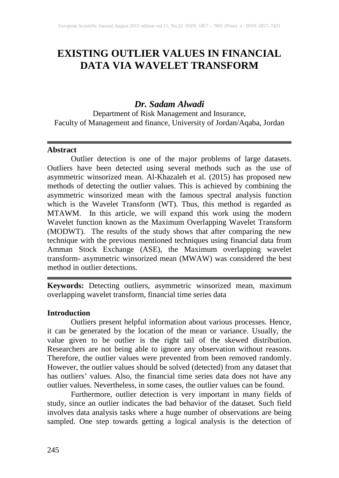# **EXISTING OUTLIER VALUES IN FINANCIAL DATA VIA WAVELET TRANSFORM**

## *Dr. Sadam Alwadi*

Department of Risk Management and Insurance, Faculty of Management and finance, University of Jordan/Aqaba, Jordan

## **Abstract**

Outlier detection is one of the major problems of large datasets. Outliers have been detected using several methods such as the use of asymmetric winsorized mean. Al-Khazaleh et al. (2015) has proposed new methods of detecting the outlier values. This is achieved by combining the asymmetric winsorized mean with the famous spectral analysis function which is the Wavelet Transform (WT). Thus, this method is regarded as MTAWM. In this article, we will expand this work using the modern Wavelet function known as the Maximum Overlapping Wavelet Transform (MODWT). The results of the study shows that after comparing the new technique with the previous mentioned techniques using financial data from Amman Stock Exchange (ASE), the Maximum overlapping wavelet transform- asymmetric winsorized mean (MWAW) was considered the best method in outlier detections.

**Keywords:** Detecting outliers, asymmetric winsorized mean, maximum overlapping wavelet transform, financial time series data

## **Introduction**

Outliers present helpful information about various processes. Hence, it can be generated by the location of the mean or variance. Usually, the value given to be outlier is the right tail of the skewed distribution. Researchers are not being able to ignore any observation without reasons. Therefore, the outlier values were prevented from been removed randomly. However, the outlier values should be solved (detected) from any dataset that has outliers' values. Also, the financial time series data does not have any outlier values. Nevertheless, in some cases, the outlier values can be found.

Furthermore, outlier detection is very important in many fields of study, since an outlier indicates the bad behavior of the dataset. Such field involves data analysis tasks where a huge number of observations are being sampled. One step towards getting a logical analysis is the detection of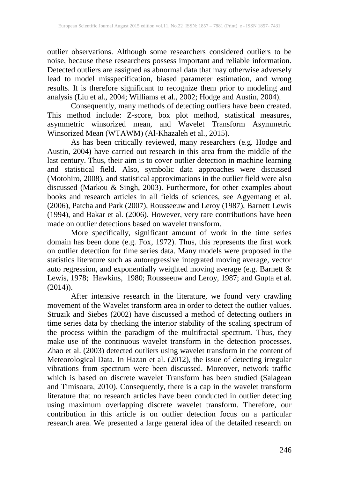outlier observations. Although some researchers considered outliers to be noise, because these researchers possess important and reliable information. Detected outliers are assigned as abnormal data that may otherwise adversely lead to model misspecification, biased parameter estimation, and wrong results. It is therefore significant to recognize them prior to modeling and analysis (Liu et al., 2004; Williams et al., 2002; Hodge and Austin, 2004).

Consequently, many methods of detecting outliers have been created. This method include: Z-score, box plot method, statistical measures, asymmetric winsorized mean, and Wavelet Transform Asymmetric Winsorized Mean (WTAWM) (Al-Khazaleh et al., 2015).

As has been critically reviewed, many researchers (e.g. Hodge and Austin, 2004) have carried out research in this area from the middle of the last century. Thus, their aim is to cover outlier detection in machine learning and statistical field. Also, symbolic data approaches were discussed (Motohiro, 2008), and statistical approximations in the outlier field were also discussed (Markou & Singh, 2003). Furthermore, for other examples about books and research articles in all fields of sciences, see Agyemang et al. (2006), Patcha and Park (2007), Rousseeuw and Leroy (1987), Barnett Lewis (1994), and Bakar et al. (2006). However, very rare contributions have been made on outlier detections based on wavelet transform.

More specifically, significant amount of work in the time series domain has been done (e.g. Fox, 1972). Thus, this represents the first work on outlier detection for time series data. Many models were proposed in the statistics literature such as autoregressive integrated moving average, vector auto regression, and exponentially weighted moving average (e.g. Barnett & Lewis, 1978; Hawkins, 1980; Rousseeuw and Leroy, 1987; and Gupta et al.  $(2014)$ ).

After intensive research in the literature, we found very crawling movement of the Wavelet transform area in order to detect the outlier values. Struzik and Siebes (2002) have discussed a method of detecting outliers in time series data by checking the interior stability of the scaling spectrum of the process within the paradigm of the multifractal spectrum. Thus, they make use of the continuous wavelet transform in the detection processes. Zhao et al. (2003) detected outliers using wavelet transform in the content of Meteorological Data. In Hazan et al. (2012), the issue of detecting irregular vibrations from spectrum were been discussed. Moreover, network traffic which is based on discrete wavelet Transform has been studied (Salagean and Timisoara, 2010). Consequently, there is a cap in the wavelet transform literature that no research articles have been conducted in outlier detecting using maximum overlapping discrete wavelet transform. Therefore, our contribution in this article is on outlier detection focus on a particular research area. We presented a large general idea of the detailed research on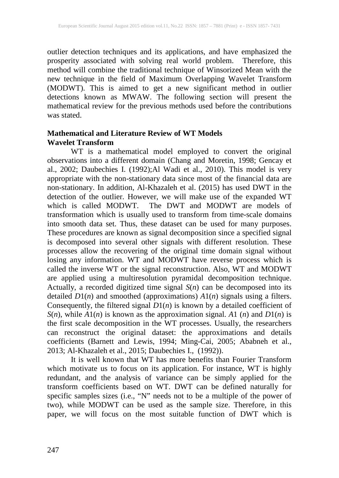outlier detection techniques and its applications, and have emphasized the prosperity associated with solving real world problem. Therefore, this method will combine the traditional technique of Winsorized Mean with the new technique in the field of Maximum Overlapping Wavelet Transform (MODWT). This is aimed to get a new significant method in outlier detections known as MWAW. The following section will present the mathematical review for the previous methods used before the contributions was stated.

## **Mathematical and Literature Review of WT Models Wavelet Transform**

WT is a mathematical model employed to convert the original observations into a different domain (Chang and Moretin, 1998; Gencay et al., 2002; Daubechies I. (1992);Al Wadi et al., 2010). This model is very appropriate with the non-stationary data since most of the financial data are non-stationary. In addition, Al-Khazaleh et al. (2015) has used DWT in the detection of the outlier. However, we will make use of the expanded WT which is called MODWT. The DWT and MODWT are models of transformation which is usually used to transform from time-scale domains into smooth data set. Thus, these dataset can be used for many purposes. These procedures are known as signal decomposition since a specified signal is decomposed into several other signals with different resolution. These processes allow the recovering of the original time domain signal without losing any information. WT and MODWT have reverse process which is called the inverse WT or the signal reconstruction. Also, WT and MODWT are applied using a multiresolution pyramidal decomposition technique. Actually, a recorded digitized time signal *S*(*n*) can be decomposed into its detailed *D*1(*n*) and smoothed (approximations) *A*1(*n*) signals using a filters. Consequently, the filtered signal *D*1(*n*) is known by a detailed coefficient of *S*(*n*), while *A*1(*n*) is known as the approximation signal. *A*1 (*n*) and *D*1(*n*) is the first scale decomposition in the WT processes. Usually, the researchers can reconstruct the original dataset: the approximations and details coefficients (Barnett and Lewis, 1994; Ming-Cai, 2005; Ababneh et al., 2013; Al-Khazaleh et al., 2015; Daubechies I., (1992)).

It is well known that WT has more benefits than Fourier Transform which motivate us to focus on its application. For instance, WT is highly redundant, and the analysis of variance can be simply applied for the transform coefficients based on WT. DWT can be defined naturally for specific samples sizes (i.e., "N" needs not to be a multiple of the power of two), while MODWT can be used as the sample size. Therefore, in this paper, we will focus on the most suitable function of DWT which is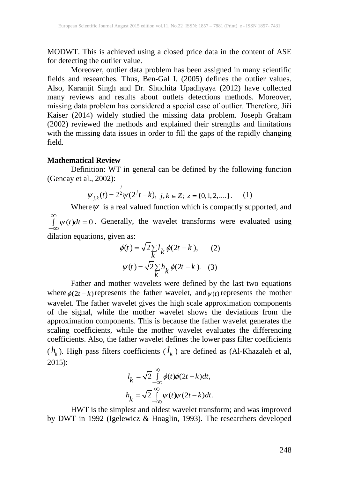MODWT. This is achieved using a closed price data in the content of ASE for detecting the outlier value.

Moreover, outlier data problem has been assigned in many scientific fields and researches. Thus, Ben-Gal I. (2005) defines the outlier values. Also, Karanjit Singh and Dr. Shuchita Upadhyaya (2012) have collected many reviews and results about outlets detections methods. Moreover, missing data problem has considered a special case of outlier. Therefore, Jiří Kaiser (2014) widely studied the missing data problem. Joseph Graham (2002) reviewed the methods and explained their strengths and limitations with the missing data issues in order to fill the gaps of the rapidly changing field.

#### **Mathematical Review**

Definition: WT in general can be defined by the following function (Gencay et al., 2002):

$$
\psi_{j,k}(t) = 2^{\frac{j}{2}} \psi(2^{j}t - k), \ j, k \in \mathbb{Z}; \ z = \{0, 1, 2, \dots\}.
$$
 (1)

Where  $\psi$  is a real valued function which is compactly supported, and  $\psi(t)dt = 0$ ∞  $\int_{-\infty}^{\infty} \psi(t) dt = 0$ . Generally, the wavelet transforms were evaluated using dilation equations, given as:

$$
\phi(t) = \sqrt{2} \sum_{k} l_k \phi(2t - k), \qquad (2)
$$

$$
\psi(t) = \sqrt{2} \sum_{k} h_k \phi(2t - k). \quad (3)
$$

Father and mother wavelets were defined by the last two equations where  $\phi(2t - k)$  represents the father wavelet, and  $\psi(t)$  represents the mother wavelet. The father wavelet gives the high scale approximation components of the signal, while the mother wavelet shows the deviations from the approximation components. This is because the father wavelet generates the scaling coefficients, while the mother wavelet evaluates the differencing coefficients. Also, the father wavelet defines the lower pass filter coefficients  $(h_k)$ . High pass filters coefficients  $(l_k)$  are defined as (Al-Khazaleh et al,  $2015$ :

$$
l_k = \sqrt{2} \int_{-\infty}^{\infty} \phi(t)\phi(2t - k)dt,
$$
  

$$
h_k = \sqrt{2} \int_{-\infty}^{\infty} \psi(t)\psi(2t - k)dt.
$$

HWT is the simplest and oldest wavelet transform; and was improved by DWT in 1992 (Igelewicz & Hoaglin, 1993). The researchers developed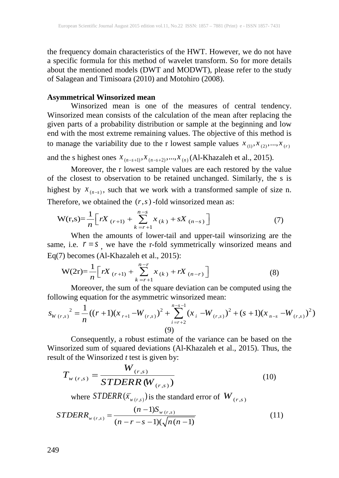the frequency domain characteristics of the HWT. However, we do not have a specific formula for this method of wavelet transform. So for more details about the mentioned models (DWT and MODWT), please refer to the study of Salagean and Timisoara (2010) and Motohiro (2008).

#### **Asymmetrical Winsorized mean**

Winsorized mean is one of the measures of central tendency. Winsorized mean consists of the calculation of the mean after replacing the given parts of a probability distribution or sample at the beginning and low end with the most extreme remaining values. The objective of this method is to manage the variability due to the r lowest sample values  $x_{(1)}, x_{(2)},...,x_{(r)}$ 

and the s highest ones  $x_{(n-s+1)}, x_{(n-s+2)},..., x_{(n)}$  (Al-Khazaleh et al., 2015).

Moreover, the r lowest sample values are each restored by the value of the closest to observation to be retained unchanged. Similarly, the s is highest by  $x_{(n-s)}$ , such that we work with a transformed sample of size n. Therefore, we obtained the  $(r, s)$ -fold winsorized mean as:

$$
W(r,s) = \frac{1}{n} \left[ rX_{(r+1)} + \sum_{k=r+1}^{n-s} x_{(k)} + sX_{(n-s)} \right]
$$
 (7)

When the amounts of lower-tail and upper-tail winsorizing are the same, i.e.  $r = s$ , we have the r-fold symmetrically winsorized means and Eq(7) becomes (Al-Khazaleh et al., 2015):

$$
W(2r) = \frac{1}{n} \left[ rX_{(r+1)} + \sum_{k=r+1}^{n-r} x_{(k)} + rX_{(n-r)} \right]
$$
 (8)

Moreover, the sum of the square deviation can be computed using the following equation for the asymmetric winsorized mean:

$$
s_{W(r,s)}^{2} = \frac{1}{n} ((r+1)(x_{r+1} - W_{(r,s)})^{2} + \sum_{i=r+2}^{n-s-1} (x_{i} - W_{(r,s)})^{2} + (s+1)(x_{n-s} - W_{(r,s)})^{2})
$$
  
(9)

Consequently, a robust estimate of the variance can be based on the Winsorized sum of squared deviations (Al-Khazaleh et al., 2015). Thus, the result of the Winsorized *t* test is given by:

$$
T_{w(r,s)} = \frac{W_{(r,s)}}{STDERR(W_{(r,s)})}
$$
(10)

where  $STDERR(\bar{x}_{w(r,s)})$  is the standard error of  $W_{(r,s)}$ 

$$
STDERR_{w(r,s)} = \frac{(n-1)S_{w(r,s)}}{(n-r-s-1)(\sqrt{n(n-1)}}\tag{11}
$$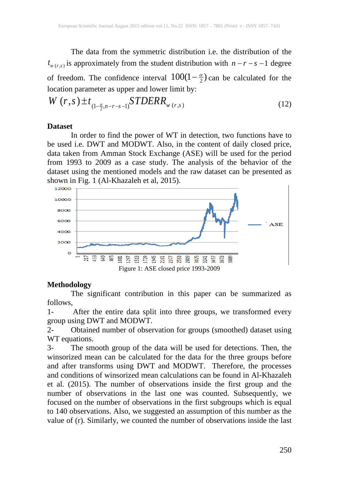The data from the symmetric distribution i.e. the distribution of the  $t_{w(r,s)}$  is approximately from the student distribution with  $n - r - s - 1$  degree of freedom. The confidence interval  $100(1 - \frac{\alpha}{2})$  can be calculated for the location parameter as upper and lower limit by:

$$
W(r,s) \pm t_{(1-\frac{\alpha}{2},n-r-s-1)} STDERR_{w(r,s)}
$$
\n(12)

#### **Dataset**

In order to find the power of WT in detection, two functions have to be used i.e. DWT and MODWT. Also, in the content of daily closed price, data taken from Amman Stock Exchange (ASE) will be used for the period from 1993 to 2009 as a case study. The analysis of the behavior of the dataset using the mentioned models and the raw dataset can be presented as shown in Fig. 1 (Al-Khazaleh et al, 2015).



## **Methodology**

The significant contribution in this paper can be summarized as follows,

1- After the entire data split into three groups, we transformed every group using DWT and MODWT.

2- Obtained number of observation for groups (smoothed) dataset using WT equations.

3- The smooth group of the data will be used for detections. Then, the winsorized mean can be calculated for the data for the three groups before and after transforms using DWT and MODWT. Therefore, the processes and conditions of winsorized mean calculations can be found in Al-Khazaleh et al. (2015). The number of observations inside the first group and the number of observations in the last one was counted. Subsequently, we focused on the number of observations in the first subgroups which is equal to 140 observations. Also, we suggested an assumption of this number as the value of (r). Similarly, we counted the number of observations inside the last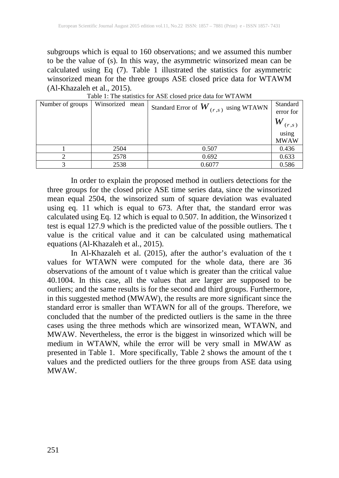subgroups which is equal to 160 observations; and we assumed this number to be the value of (s). In this way, the asymmetric winsorized mean can be calculated using Eq (7). Table 1 illustrated the statistics for asymmetric winsorized mean for the three groups ASE closed price data for WTAWM (Al-Khazaleh et al., 2015).

| Number of groups | Winsorized mean | Standard Error of $\boldsymbol{W}_{(r,s)}$ using WTAWN | Standard<br>error for |  |  |  |  |  |  |  |
|------------------|-----------------|--------------------------------------------------------|-----------------------|--|--|--|--|--|--|--|
|                  |                 |                                                        | W<br>(r,s)            |  |  |  |  |  |  |  |
|                  |                 |                                                        | using                 |  |  |  |  |  |  |  |
|                  |                 |                                                        | <b>MWAW</b>           |  |  |  |  |  |  |  |
|                  | 2504            | 0.507                                                  | 0.436                 |  |  |  |  |  |  |  |
|                  | 2578            | 0.692                                                  | 0.633                 |  |  |  |  |  |  |  |
|                  | 2538            | 0.6077                                                 | 0.586                 |  |  |  |  |  |  |  |

Table 1: The statistics for ASE closed price data for WTAWM

In order to explain the proposed method in outliers detections for the three groups for the closed price ASE time series data, since the winsorized mean equal 2504, the winsorized sum of square deviation was evaluated using eq. 11 which is equal to 673. After that, the standard error was calculated using Eq. 12 which is equal to 0.507. In addition, the Winsorized t test is equal 127.9 which is the predicted value of the possible outliers. The t value is the critical value and it can be calculated using mathematical equations (Al-Khazaleh et al., 2015).

In Al-Khazaleh et al. (2015), after the author's evaluation of the t values for WTAWN were computed for the whole data, there are 36 observations of the amount of t value which is greater than the critical value 40.1004. In this case, all the values that are larger are supposed to be outliers; and the same results is for the second and third groups. Furthermore, in this suggested method (MWAW), the results are more significant since the standard error is smaller than WTAWN for all of the groups. Therefore, we concluded that the number of the predicted outliers is the same in the three cases using the three methods which are winsorized mean, WTAWN, and MWAW. Nevertheless, the error is the biggest in winsorized which will be medium in WTAWN, while the error will be very small in MWAW as presented in Table 1. More specifically, Table 2 shows the amount of the t values and the predicted outliers for the three groups from ASE data using MWAW.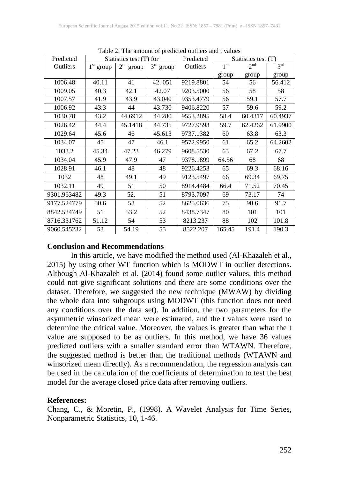| Predicted   | $\epsilon$ 2. The amount of predicted outflets and $\epsilon$ , and<br>Statistics test (T) for |             | Predicted   | Statistics test (T) |                 |          |                 |
|-------------|------------------------------------------------------------------------------------------------|-------------|-------------|---------------------|-----------------|----------|-----------------|
| Outliers    | $1st$ group                                                                                    | $2nd$ group | $3rd$ group | Outliers            | 1 <sup>st</sup> | $2^{nd}$ | $3^{\text{rd}}$ |
|             |                                                                                                |             |             |                     | group           | group    | group           |
| 1006.48     | 40.11                                                                                          | 41          | 42.051      | 9219.8801           | 54              | 56       | 56.412          |
| 1009.05     | 40.3                                                                                           | 42.1        | 42.07       | 9203.5000           | 56              | 58       | 58              |
| 1007.57     | 41.9                                                                                           | 43.9        | 43.040      | 9353.4779           | 56              | 59.1     | 57.7            |
| 1006.92     | 43.3                                                                                           | 44          | 43.730      | 9406.8220           | 57              | 59.6     | 59.2            |
| 1030.78     | 43.2                                                                                           | 44.6912     | 44.280      | 9553.2895           | 58.4            | 60.4317  | 60.4937         |
| 1026.42     | 44.4                                                                                           | 45.1418     | 44.735      | 9727.9593           | 59.7            | 62.4262  | 61.9900         |
| 1029.64     | 45.6                                                                                           | 46          | 45.613      | 9737.1382           | 60              | 63.8     | 63.3            |
| 1034.07     | 45                                                                                             | 47          | 46.1        | 9572.9950           | 61              | 65.2     | 64.2602         |
| 1033.2      | 45.34                                                                                          | 47.23       | 46.279      | 9608.5530           | 63              | 67.2     | 67.7            |
| 1034.04     | 45.9                                                                                           | 47.9        | 47          | 9378.1899           | 64.56           | 68       | 68              |
| 1028.91     | 46.1                                                                                           | 48          | 48          | 9226.4253           | 65              | 69.3     | 68.16           |
| 1032        | 48                                                                                             | 49.1        | 49          | 9123.5497           | 66              | 69.34    | 69.75           |
| 1032.11     | 49                                                                                             | 51          | 50          | 8914.4484           | 66.4            | 71.52    | 70.45           |
| 9301.963482 | 49.3                                                                                           | 52.         | 51          | 8793.7097           | 69              | 73.17    | 74              |
| 9177.524779 | 50.6                                                                                           | 53          | 52          | 8625.0636           | 75              | 90.6     | 91.7            |
| 8842.534749 | 51                                                                                             | 53.2        | 52          | 8438.7347           | 80              | 101      | 101             |
| 8716.331762 | 51.12                                                                                          | 54          | 53          | 8213.237            | 88              | 102      | 101.8           |
| 9060.545232 | 53                                                                                             | 54.19       | 55          | 8522.207            | 165.45          | 191.4    | 190.3           |

Table 2: The amount of predicted outliers and t values

## **Conclusion and Recommendations**

In this article, we have modified the method used (Al-Khazaleh et al., 2015) by using other WT function which is MODWT in outlier detections. Although Al-Khazaleh et al. (2014) found some outlier values, this method could not give significant solutions and there are some conditions over the dataset. Therefore, we suggested the new technique (MWAW) by dividing the whole data into subgroups using MODWT (this function does not need any conditions over the data set). In addition, the two parameters for the asymmetric winsorized mean were estimated, and the t values were used to determine the critical value. Moreover, the values is greater than what the t value are supposed to be as outliers. In this method, we have 36 values predicted outliers with a smaller standard error than WTAWN. Therefore, the suggested method is better than the traditional methods (WTAWN and winsorized mean directly). As a recommendation, the regression analysis can be used in the calculation of the coefficients of determination to test the best model for the average closed price data after removing outliers.

## **References:**

Chang, C., & Moretin, P., (1998). A Wavelet Analysis for Time Series, Nonparametric Statistics, 10, 1-46.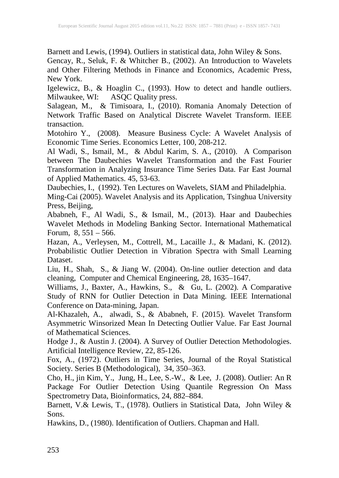Barnett and Lewis, (1994). Outliers in statistical data, John Wiley & Sons.

Gencay, R., Seluk, F. & Whitcher B., (2002). An Introduction to Wavelets and Other Filtering Methods in Finance and Economics, Academic Press, New York.

Igelewicz, B., & Hoaglin C., (1993). How to detect and handle outliers. Milwaukee, WI: ASQC Quality press.

Salagean, M., & Timisoara, I., (2010). Romania Anomaly Detection of Network Traffic Based on Analytical Discrete Wavelet Transform. IEEE transaction.

Motohiro Y., (2008). Measure Business Cycle: A Wavelet Analysis of Economic Time Series. Economics Letter, 100, 208-212.

Al Wadi, S., Ismail, M., & Abdul Karim, S. A., (2010). A Comparison between The Daubechies Wavelet Transformation and the Fast Fourier Transformation in Analyzing Insurance Time Series Data. Far East Journal of Applied Mathematics. 45, 53-63.

Daubechies, I., (1992). Ten Lectures on Wavelets, SIAM and Philadelphia.

Ming-Cai (2005). Wavelet Analysis and its Application, Tsinghua University Press, Beijing,

Ababneh, F., Al Wadi, S., & Ismail, M., (2013). Haar and Daubechies Wavelet Methods in Modeling Banking Sector. International Mathematical Forum,  $8, 551 - 566$ .

Hazan, A., Verleysen, M., Cottrell, M., Lacaille J., & Madani, K. (2012). Probabilistic Outlier Detection in Vibration Spectra with Small Learning Dataset.

Liu, H., Shah, S., & Jiang W. (2004). On-line outlier detection and data cleaning, Computer and Chemical Engineering, 28, 1635–1647.

Williams, J., Baxter, A., Hawkins, S., & Gu, L. (2002). A Comparative Study of RNN for Outlier Detection in Data Mining. IEEE International Conference on Data-mining, Japan.

Al-Khazaleh, A., alwadi, S., & Ababneh, F. (2015). Wavelet Transform Asymmetric Winsorized Mean In Detecting Outlier Value. Far East Journal of Mathematical Sciences.

Hodge J., & Austin J. (2004). A Survey of Outlier Detection Methodologies. Artificial Intelligence Review, 22, 85-126.

Fox, A., (1972). Outliers in Time Series, Journal of the Royal Statistical Society. Series B (Methodological), 34, 350–363.

Cho, H., jin Kim, Y., Jung, H., Lee, S.-W., & Lee, J. (2008). Outlier: An R Package For Outlier Detection Using Quantile Regression On Mass Spectrometry Data, Bioinformatics, 24, 882–884.

Barnett, V.& Lewis, T., (1978). Outliers in Statistical Data, John Wiley & Sons.

Hawkins, D., (1980). Identification of Outliers. Chapman and Hall.